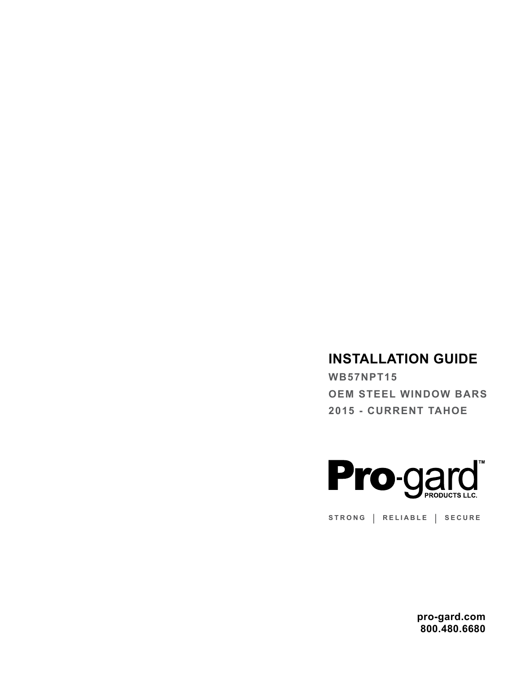# **INSTALLATION GUIDE**

**WB57NPT15 OEM STEEL WINDOW BARS 2015 - CURRENT TAHOE**



**STRONG | RELIABLE | SECURE**

**pro-gard.com 800.480.6680**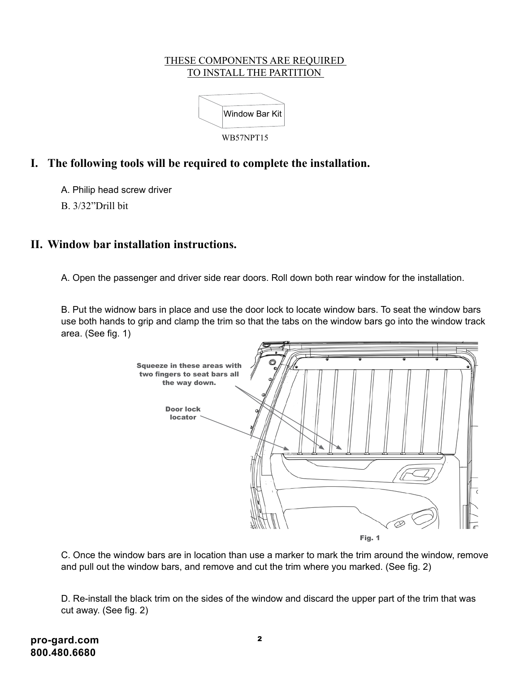#### THESE COMPONENTS ARE REQUIRED TO INSTALL THE PARTITION



## **I. The following tools will be required to complete the installation.**

A. Philip head screw driver

B. 3/32"Drill bit

### **II. Window bar installation instructions.**

A. Open the passenger and driver side rear doors. Roll down both rear window for the installation.

B. Put the widnow bars in place and use the door lock to locate window bars. To seat the window bars use both hands to grip and clamp the trim so that the tabs on the window bars go into the window track area. (See fig. 1)



C. Once the window bars are in location than use a marker to mark the trim around the window, remove and pull out the window bars, and remove and cut the trim where you marked. (See fig. 2)

D. Re-install the black trim on the sides of the window and discard the upper part of the trim that was cut away. (See fig. 2)